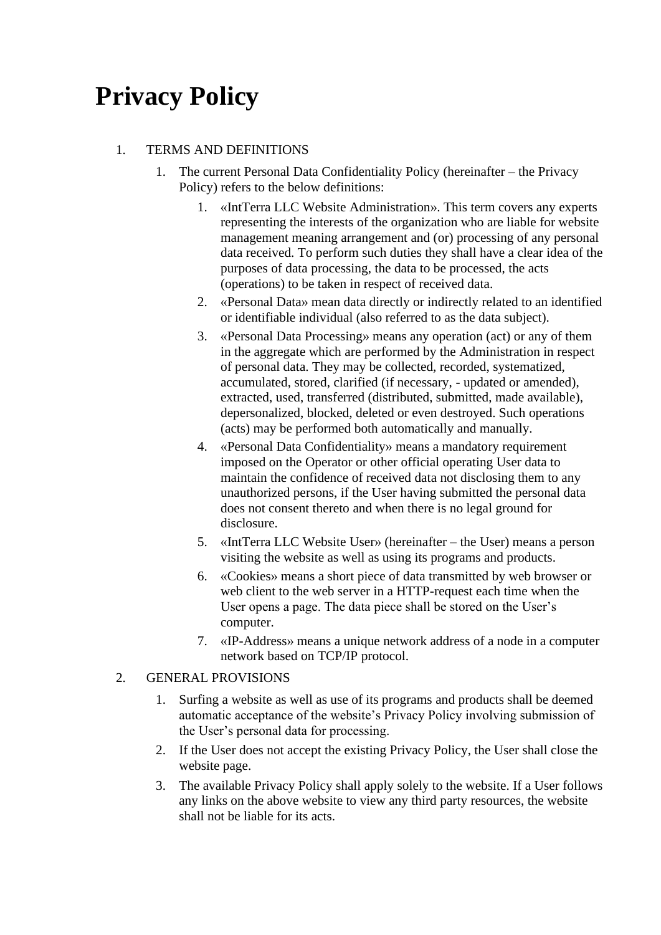## **Privacy Policy**

## 1. TERMS AND DEFINITIONS

- 1. The current Personal Data Confidentiality Policy (hereinafter the Privacy Policy) refers to the below definitions:
	- 1. «IntTerra LLC Website Administration». This term covers any experts representing the interests of the organization who are liable for website management meaning arrangement and (or) processing of any personal data received. To perform such duties they shall have a clear idea of the purposes of data processing, the data to be processed, the acts (operations) to be taken in respect of received data.
	- 2. «Personal Data» mean data directly or indirectly related to an identified or identifiable individual (also referred to as the data subject).
	- 3. «Personal Data Processing» means any operation (act) or any of them in the aggregate which are performed by the Administration in respect of personal data. They may be collected, recorded, systematized, accumulated, stored, clarified (if necessary, - updated or amended), extracted, used, transferred (distributed, submitted, made available), depersonalized, blocked, deleted or even destroyed. Such operations (acts) may be performed both automatically and manually.
	- 4. «Personal Data Confidentiality» means a mandatory requirement imposed on the Operator or other official operating User data to maintain the confidence of received data not disclosing them to any unauthorized persons, if the User having submitted the personal data does not consent thereto and when there is no legal ground for disclosure.
	- 5. «IntTerra LLC Website User» (hereinafter the User) means a person visiting the website as well as using its programs and products.
	- 6. «Cookies» means a short piece of data transmitted by web browser or web client to the web server in a HTTP-request each time when the User opens a page. The data piece shall be stored on the User's computer.
	- 7. «IP-Address» means a unique network address of a node in a computer network based on TCP/IP protocol.

### 2. GENERAL PROVISIONS

- 1. Surfing a website as well as use of its programs and products shall be deemed automatic acceptance of the website's Privacy Policy involving submission of the User's personal data for processing.
- 2. If the User does not accept the existing Privacy Policy, the User shall close the website page.
- 3. The available Privacy Policy shall apply solely to the website. If a User follows any links on the above website to view any third party resources, the website shall not be liable for its acts.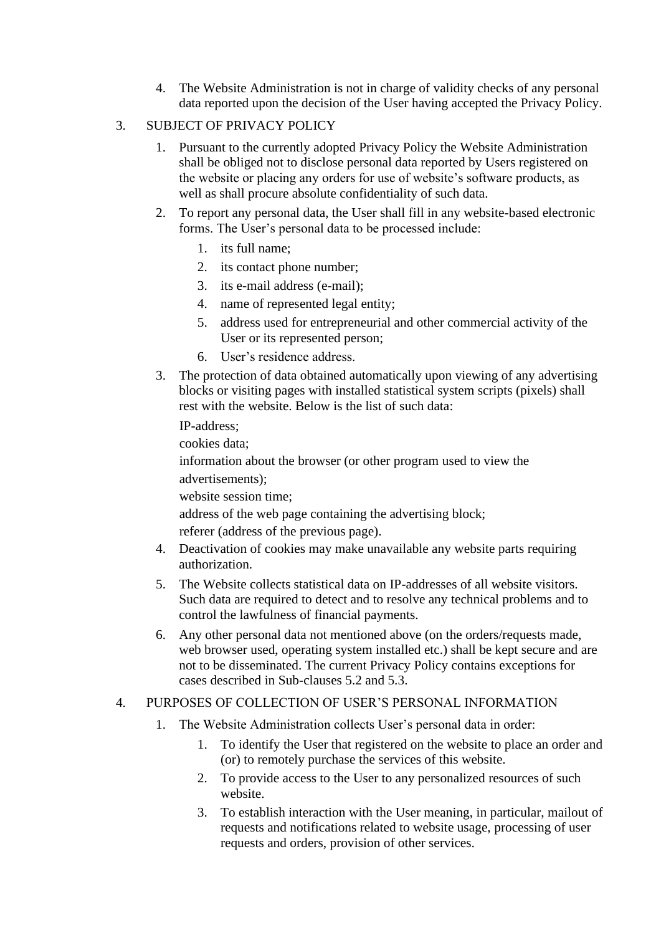4. The Website Administration is not in charge of validity checks of any personal data reported upon the decision of the User having accepted the Privacy Policy.

#### 3. SUBJECT OF PRIVACY POLICY

- 1. Pursuant to the currently adopted Privacy Policy the Website Administration shall be obliged not to disclose personal data reported by Users registered on the website or placing any orders for use of website's software products, as well as shall procure absolute confidentiality of such data.
- 2. To report any personal data, the User shall fill in any website-based electronic forms. The User's personal data to be processed include:
	- 1. its full name;
	- 2. its contact phone number;
	- 3. its e-mail address (e-mail);
	- 4. name of represented legal entity;
	- 5. address used for entrepreneurial and other commercial activity of the User or its represented person;
	- 6. User's residence address.
- 3. The protection of data obtained automatically upon viewing of any advertising blocks or visiting pages with installed statistical system scripts (pixels) shall rest with the website. Below is the list of such data:

IP-address;

cookies data;

information about the browser (or other program used to view the advertisements);

website session time;

address of the web page containing the advertising block;

referer (address of the previous page).

- 4. Deactivation of cookies may make unavailable any website parts requiring authorization.
- 5. The Website collects statistical data on IP-addresses of all website visitors. Such data are required to detect and to resolve any technical problems and to control the lawfulness of financial payments.
- 6. Any other personal data not mentioned above (on the orders/requests made, web browser used, operating system installed etc.) shall be kept secure and are not to be disseminated. The current Privacy Policy contains exceptions for cases described in Sub-clauses 5.2 and 5.3.

#### 4. PURPOSES OF COLLECTION OF USER'S PERSONAL INFORMATION

- 1. The Website Administration collects User's personal data in order:
	- 1. To identify the User that registered on the website to place an order and (or) to remotely purchase the services of this website.
	- 2. To provide access to the User to any personalized resources of such website.
	- 3. To establish interaction with the User meaning, in particular, mailout of requests and notifications related to website usage, processing of user requests and orders, provision of other services.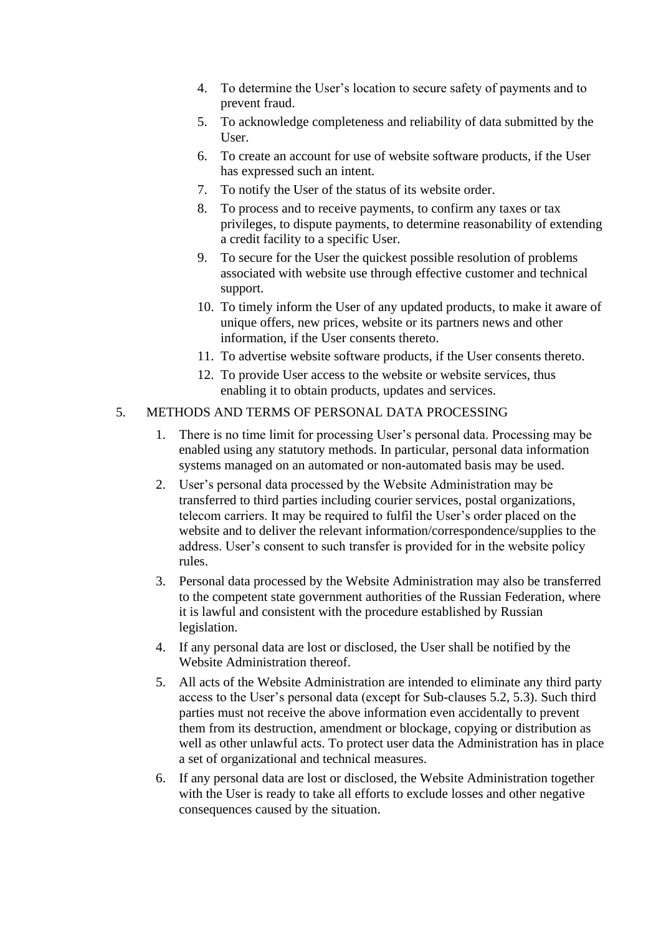- 4. To determine the User's location to secure safety of payments and to prevent fraud.
- 5. To acknowledge completeness and reliability of data submitted by the User.
- 6. To create an account for use of website software products, if the User has expressed such an intent.
- 7. To notify the User of the status of its website order.
- 8. To process and to receive payments, to confirm any taxes or tax privileges, to dispute payments, to determine reasonability of extending a credit facility to a specific User.
- 9. To secure for the User the quickest possible resolution of problems associated with website use through effective customer and technical support.
- 10. To timely inform the User of any updated products, to make it aware of unique offers, new prices, website or its partners news and other information, if the User consents thereto.
- 11. To advertise website software products, if the User consents thereto.
- 12. To provide User access to the website or website services, thus enabling it to obtain products, updates and services.

#### 5. METHODS AND TERMS OF PERSONAL DATA PROCESSING

- 1. There is no time limit for processing User's personal data. Processing may be enabled using any statutory methods. In particular, personal data information systems managed on an automated or non-automated basis may be used.
- 2. User's personal data processed by the Website Administration may be transferred to third parties including courier services, postal organizations, telecom carriers. It may be required to fulfil the User's order placed on the website and to deliver the relevant information/correspondence/supplies to the address. User's consent to such transfer is provided for in the website policy rules.
- 3. Personal data processed by the Website Administration may also be transferred to the competent state government authorities of the Russian Federation, where it is lawful and consistent with the procedure established by Russian legislation.
- 4. If any personal data are lost or disclosed, the User shall be notified by the Website Administration thereof.
- 5. All acts of the Website Administration are intended to eliminate any third party access to the User's personal data (except for Sub-clauses 5.2, 5.3). Such third parties must not receive the above information even accidentally to prevent them from its destruction, amendment or blockage, copying or distribution as well as other unlawful acts. To protect user data the Administration has in place a set of organizational and technical measures.
- 6. If any personal data are lost or disclosed, the Website Administration together with the User is ready to take all efforts to exclude losses and other negative consequences caused by the situation.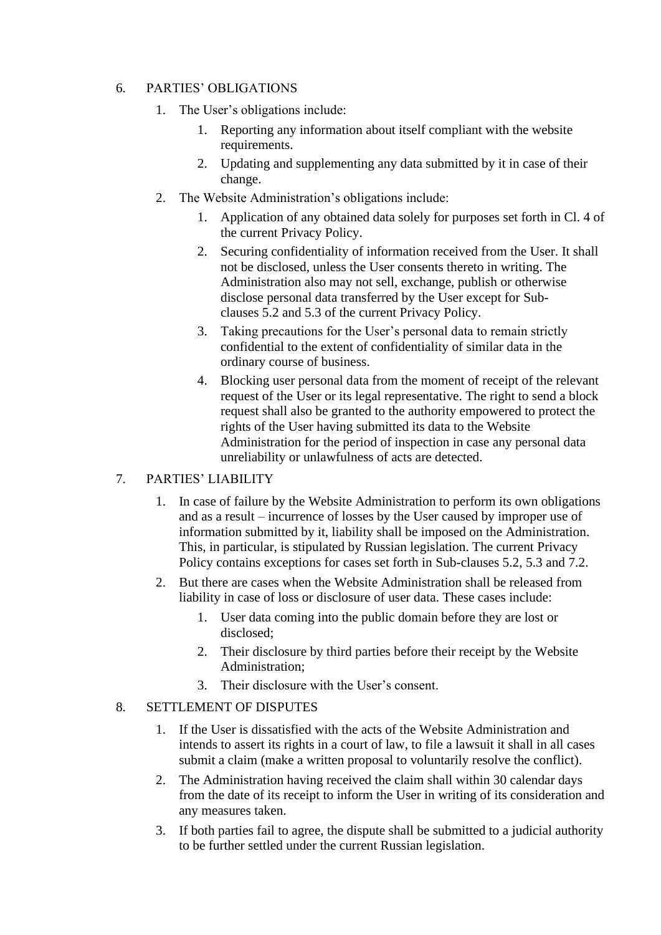#### 6. PARTIES' OBLIGATIONS

- 1. The User's obligations include:
	- 1. Reporting any information about itself compliant with the website requirements.
	- 2. Updating and supplementing any data submitted by it in case of their change.
- 2. The Website Administration's obligations include:
	- 1. Application of any obtained data solely for purposes set forth in Cl. 4 of the current Privacy Policy.
	- 2. Securing confidentiality of information received from the User. It shall not be disclosed, unless the User consents thereto in writing. The Administration also may not sell, exchange, publish or otherwise disclose personal data transferred by the User except for Subclauses 5.2 and 5.3 of the current Privacy Policy.
	- 3. Taking precautions for the User's personal data to remain strictly confidential to the extent of confidentiality of similar data in the ordinary course of business.
	- 4. Blocking user personal data from the moment of receipt of the relevant request of the User or its legal representative. The right to send a block request shall also be granted to the authority empowered to protect the rights of the User having submitted its data to the Website Administration for the period of inspection in case any personal data unreliability or unlawfulness of acts are detected.

#### 7. PARTIES' LIABILITY

- 1. In case of failure by the Website Administration to perform its own obligations and as a result – incurrence of losses by the User caused by improper use of information submitted by it, liability shall be imposed on the Administration. This, in particular, is stipulated by Russian legislation. The current Privacy Policy contains exceptions for cases set forth in Sub-clauses 5.2, 5.3 and 7.2.
- 2. But there are cases when the Website Administration shall be released from liability in case of loss or disclosure of user data. These cases include:
	- 1. User data coming into the public domain before they are lost or disclosed;
	- 2. Their disclosure by third parties before their receipt by the Website Administration;
	- 3. Their disclosure with the User's consent.

#### 8. SETTLEMENT OF DISPUTES

- 1. If the User is dissatisfied with the acts of the Website Administration and intends to assert its rights in a court of law, to file a lawsuit it shall in all cases submit a claim (make a written proposal to voluntarily resolve the conflict).
- 2. The Administration having received the claim shall within 30 calendar days from the date of its receipt to inform the User in writing of its consideration and any measures taken.
- 3. If both parties fail to agree, the dispute shall be submitted to a judicial authority to be further settled under the current Russian legislation.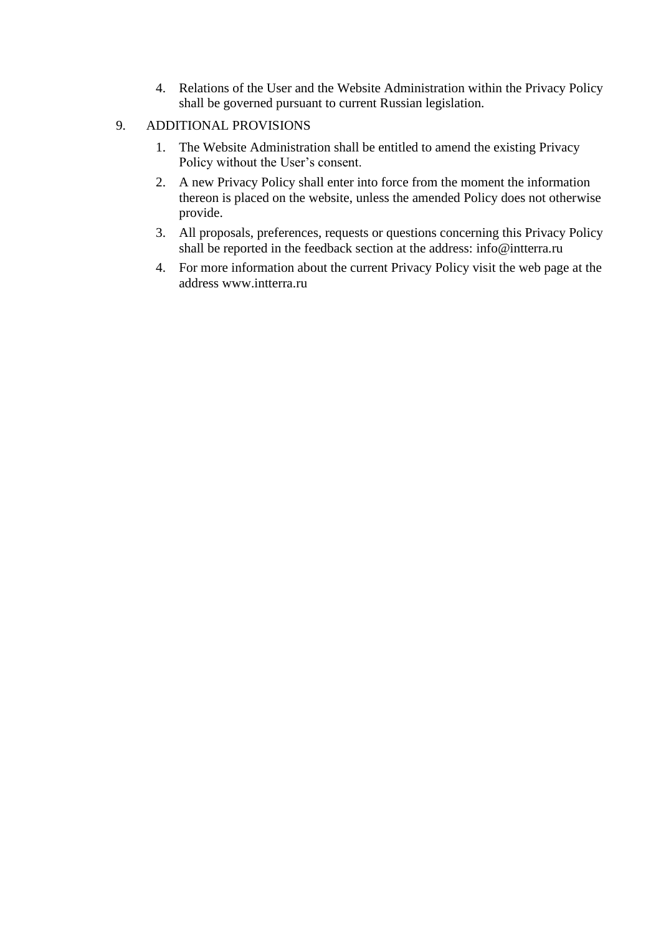4. Relations of the User and the Website Administration within the Privacy Policy shall be governed pursuant to current Russian legislation.

#### 9. ADDITIONAL PROVISIONS

- 1. The Website Administration shall be entitled to amend the existing Privacy Policy without the User's consent.
- 2. A new Privacy Policy shall enter into force from the moment the information thereon is placed on the website, unless the amended Policy does not otherwise provide.
- 3. All proposals, preferences, requests or questions concerning this Privacy Policy shall be reported in the feedback section at the address: [info@intterra.ru](mailto:info@intterra.ru)
- 4. For more information about the current Privacy Policy visit the web page at the address [www.intterra.ru](http://www.intterra.ru/)